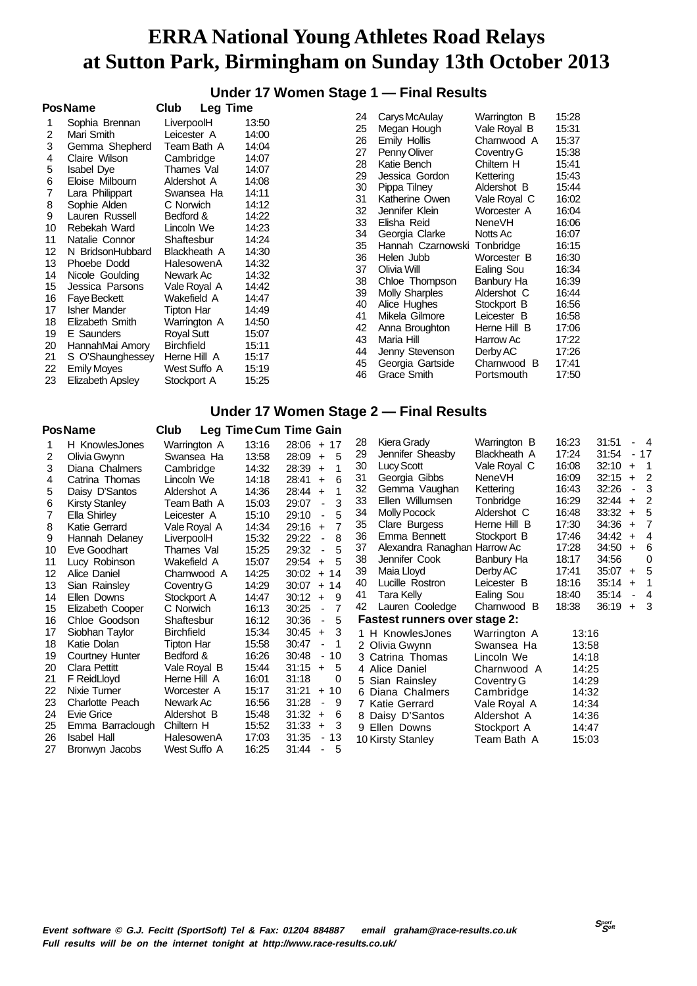**Under 17 Women Stage 1 — Final Results**

|    | <b>PosName</b>      | Club              | <b>Leg Time</b> |    |                       |               |       |
|----|---------------------|-------------------|-----------------|----|-----------------------|---------------|-------|
|    | Sophia Brennan      | LiverpoolH        | 13:50           | 24 | Carys McAulay         | Warrington B  | 15:28 |
| 2  | Mari Smith          | Leicester A       | 14:00           | 25 | Megan Hough           | Vale Royal B  | 15:31 |
| 3  | Gemma Shepherd      | Team Bath A       | 14:04           | 26 | Emily Hollis          | Charnwood A   | 15:37 |
| 4  | Claire Wilson       | Cambridge         | 14:07           | 27 | Penny Oliver          | Coventry G    | 15:38 |
| 5  | <b>Isabel Dye</b>   | Thames Val        | 14:07           | 28 | Katie Bench           | Chiltern H    | 15:41 |
| 6  | Eloise Milbourn     | Aldershot A       | 14:08           | 29 | Jessica Gordon        | Kettering     | 15:43 |
|    | Lara Philippart     | Swansea Ha        | 14:11           | 30 | Pippa Tilney          | Aldershot B   | 15:44 |
| 8  | Sophie Alden        | C Norwich         | 14:12           | 31 | Katherine Owen        | Vale Royal C  | 16:02 |
| 9  | Lauren Russell      | Bedford &         | 14:22           | 32 | Jennifer Klein        | Worcester A   | 16:04 |
| 10 | Rebekah Ward        | Lincoln We        | 14:23           | 33 | Elisha Reid           | <b>NeneVH</b> | 16:06 |
| 11 | Natalie Connor      | Shaftesbur        | 14:24           | 34 | Georgia Clarke        | Notts Ac      | 16:07 |
| 12 | N BridsonHubbard    | Blackheath A      | 14:30           | 35 | Hannah Czarnowski     | Tonbridge     | 16:15 |
| 13 | Phoebe Dodd         | HalesowenA        | 14:32           | 36 | Helen Jubb            | Worcester B   | 16:30 |
| 14 | Nicole Goulding     | Newark Ac         | 14:32           | 37 | Olivia Will           | Ealing Sou    | 16:34 |
| 15 | Jessica Parsons     | Vale Royal A      | 14:42           | 38 | Chloe Thompson        | Banbury Ha    | 16:39 |
| 16 | <b>Faye Beckett</b> | Wakefield A       | 14:47           | 39 | <b>Molly Sharples</b> | Aldershot C   | 16:44 |
| 17 | Isher Mander        | Tipton Har        | 14:49           | 40 | Alice Hughes          | Stockport B   | 16:56 |
| 18 | Elizabeth Smith     | Warrington A      | 14:50           | 41 | Mikela Gilmore        | Leicester B   | 16:58 |
| 19 | E Saunders          | <b>Royal Sutt</b> | 15:07           | 42 | Anna Broughton        | Herne Hill B  | 17:06 |
| 20 | HannahMai Amory     | <b>Birchfield</b> | 15:11           | 43 | Maria Hill            | Harrow Ac     | 17:22 |
| 21 | S O'Shaunghessey    | Herne Hill A      | 15:17           | 44 | Jenny Stevenson       | Derby AC      | 17:26 |
| 22 | <b>Emily Moyes</b>  | West Suffo A      | 15:19           | 45 | Georgia Gartside      | Charnwood B   | 17:41 |
|    |                     |                   |                 | 46 | Grace Smith           | Portsmouth    | 17:50 |
| 23 | Elizabeth Apsley    | Stockport A       | 15:25           |    |                       |               |       |

### **Under 17 Women Stage 2 — Final Results**

|    | <b>PosName</b>        | Club              |       | Leg Time Cum Time Gain                 |    |                                      |               |       |       |           |                          |
|----|-----------------------|-------------------|-------|----------------------------------------|----|--------------------------------------|---------------|-------|-------|-----------|--------------------------|
|    | H KnowlesJones        | Warrington A      | 13:16 | $28:06 + 17$                           | 28 | Kiera Grady                          | Warrington B  | 16:23 | 31:51 |           | - 4                      |
| 2  | Olivia Gwynn          | Swansea Ha        | 13:58 | 28:09<br>-5<br>$+$                     | 29 | Jennifer Sheasby                     | Blackheath A  | 17:24 | 31:54 |           | $-17$                    |
| 3  | Diana Chalmers        | Cambridge         | 14:32 | 28:39<br>1<br>$+$                      | 30 | <b>Lucy Scott</b>                    | Vale Royal C  | 16:08 | 32:10 | $+$       | $\overline{\phantom{1}}$ |
| 4  | Catrina Thomas        | Lincoln We        | 14:18 | 6<br>28:41<br>$\ddot{}$                | 31 | Georgia Gibbs                        | <b>NeneVH</b> | 16:09 | 32:15 | $+$       | $\overline{2}$           |
| 5  | Daisy D'Santos        | Aldershot A       | 14:36 | 28:44<br>1<br>$+$                      | 32 | Gemma Vaughan                        | Kettering     | 16:43 | 32:26 | ٠         | 3                        |
| 6  | <b>Kirsty Stanley</b> | Team Bath A       | 15:03 | 3<br>29:07<br>$\blacksquare$           | 33 | Ellen Willumsen                      | Tonbridge     | 16:29 | 32:44 | $\ddot{}$ | $\overline{2}$           |
|    | Ella Shirley          | Leicester A       | 15:10 | 5<br>29:10<br>$\blacksquare$           | 34 | <b>Molly Pocock</b>                  | Aldershot C   | 16:48 | 33:32 | $+$       | -5                       |
| 8  | Katie Gerrard         | Vale Royal A      | 14:34 | 7<br>29:16<br>$+$                      | 35 | Clare Burgess                        | Herne Hill B  | 17:30 | 34:36 | $+$       | $\overline{7}$           |
| 9  | Hannah Delaney        | LiverpoolH        | 15:32 | 29:22<br>8<br>$\blacksquare$           | 36 | Emma Bennett                         | Stockport B   | 17:46 | 34:42 | $+$       | $\overline{4}$           |
| 10 | Eve Goodhart          | Thames Val        | 15:25 | 29:32<br>5<br>$\blacksquare$           | 37 | Alexandra Ranaghan Harrow Ac         |               | 17:28 | 34:50 | $+$       | 6                        |
| 11 | Lucy Robinson         | Wakefield A       | 15:07 | 5<br>29:54<br>$+$                      | 38 | Jennifer Cook                        | Banbury Ha    | 18:17 | 34:56 |           | $\Omega$                 |
| 12 | Alice Daniel          | Charnwood A       | 14:25 | 30:02<br>$+ 14$                        | 39 | Maia Lloyd                           | Derby AC      | 17:41 | 35:07 | $+$       | $-5$                     |
| 13 | Sian Rainsley         | Coventry G        | 14:29 | 30:07<br>$+14$                         | 40 | Lucille Rostron                      | Leicester B   | 18:16 | 35:14 | $\ddot{}$ | -1                       |
| 14 | Ellen Downs           | Stockport A       | 14:47 | 9<br>30:12<br>$\ddot{}$                | 41 | Tara Kelly                           | Ealing Sou    | 18:40 | 35:14 |           | $\overline{4}$           |
| 15 | Elizabeth Cooper      | C Norwich         | 16:13 | 30:25<br>7<br>$\overline{\phantom{a}}$ | 42 | Lauren Cooledge                      | Charnwood B   | 18:38 | 36:19 |           | $+3$                     |
| 16 | Chloe Goodson         | Shaftesbur        | 16:12 | 30:36<br>5<br>$\blacksquare$           |    | <b>Fastest runners over stage 2:</b> |               |       |       |           |                          |
| 17 | Siobhan Taylor        | <b>Birchfield</b> | 15:34 | 30:45<br>3<br>$\ddot{}$                |    | 1 H KnowlesJones                     | Warrington A  | 13:16 |       |           |                          |
| 18 | Katie Dolan           | Tipton Har        | 15:58 | 30:47<br>1<br>÷,                       |    | 2 Olivia Gwynn                       | Swansea Ha    | 13:58 |       |           |                          |
| 19 | Courtney Hunter       | Bedford &         | 16:26 | 30:48<br>10<br>$\blacksquare$          |    | 3 Catrina Thomas                     | Lincoln We    | 14:18 |       |           |                          |
| 20 | Clara Pettitt         | Vale Royal B      | 15:44 | 31:15<br>5<br>$\ddot{}$                |    | 4 Alice Daniel                       | Charnwood A   | 14:25 |       |           |                          |
| 21 | F ReidLloyd           | Herne Hill A      | 16:01 | 31:18<br>0                             |    | 5 Sian Rainsley                      | Coventry G    | 14:29 |       |           |                          |
| 22 | Nixie Turner          | Worcester A       | 15:17 | 31:21<br>10<br>$+$                     |    | 6 Diana Chalmers                     | Cambridge     | 14:32 |       |           |                          |
| 23 | Charlotte Peach       | Newark Ac         | 16:56 | 31:28<br>9<br>$\overline{\phantom{a}}$ |    | 7 Katie Gerrard                      | Vale Royal A  | 14:34 |       |           |                          |
| 24 | Evie Grice            | Aldershot B       | 15:48 | 31:32<br>6<br>$\ddot{}$                |    | 8 Daisy D'Santos                     | Aldershot A   | 14:36 |       |           |                          |
| 25 | Emma Barraclough      | Chiltern H        | 15:52 | 31:33<br>3<br>$\ddot{}$                |    | 9 Ellen Downs                        | Stockport A   | 14:47 |       |           |                          |
| 26 | <b>Isabel Hall</b>    | HalesowenA        | 17:03 | 31:35<br>- 13                          |    | 10 Kirsty Stanley                    | Team Bath A   | 15:03 |       |           |                          |
| 27 | Bronwyn Jacobs        | West Suffo A      | 16:25 | 31:44<br>5<br>$\blacksquare$           |    |                                      |               |       |       |           |                          |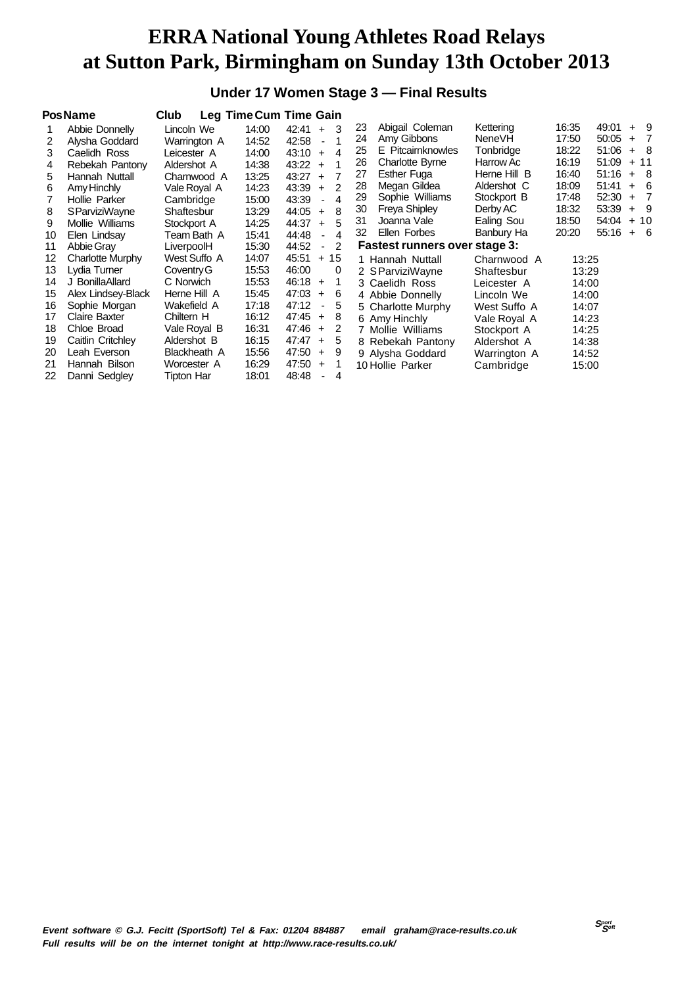### **Under 17 Women Stage 3 — Final Results**

|    | <b>PosName</b>          | Club              |       | Leg Time Cum Time Gain                    |    |                               |              |       |             |     |                |
|----|-------------------------|-------------------|-------|-------------------------------------------|----|-------------------------------|--------------|-------|-------------|-----|----------------|
|    | Abbie Donnelly          | Lincoln We        | 14:00 | $42:41 +$<br>-3                           | 23 | Abigail Coleman               | Kettering    | 16:35 | $49:01 + 9$ |     |                |
| 2  | Alysha Goddard          | Warrington A      | 14:52 | 42:58<br>$\blacksquare$                   | 24 | Amy Gibbons                   | NeneVH       | 17:50 | $50:05 +$   |     | $\overline{7}$ |
| 3  | Caelidh Ross            | Leicester A       | 14:00 | 43:10<br>4<br>$+$                         | 25 | E Pitcairnknowles             | Tonbridge    | 18:22 | 51:06       |     | $+ 8$          |
| 4  | Rebekah Pantony         | Aldershot A       | 14:38 | 43:22<br>$+$                              | 26 | <b>Charlotte Byrne</b>        | Harrow Ac    | 16:19 | 51:09       | $+$ | 11             |
| 5  | Hannah Nuttall          | Charnwood A       | 13:25 | $\overline{7}$<br>$43:27 +$               | 27 | <b>Esther Fuga</b>            | Herne Hill B | 16:40 | $51:16 +$   |     | - 8            |
| 6  | Amy Hinchly             | Vale Royal A      | 14:23 | 2<br>$43:39 +$                            | 28 | Megan Gildea                  | Aldershot C  | 18:09 | 51:41       | $+$ | 6              |
|    | Hollie Parker           | Cambridge         | 15:00 | 43:39<br>4<br>$\overline{\phantom{a}}$    | 29 | Sophie Williams               | Stockport B  | 17:48 | 52:30       | $+$ | $\overline{7}$ |
| 8  | <b>SParviziWayne</b>    | Shaftesbur        | 13:29 | 44:05<br>8<br>$+$                         | 30 | <b>Freya Shipley</b>          | Derby AC     | 18:32 | 53:39       | $+$ | - 9            |
| 9  | Mollie Williams         | Stockport A       | 14:25 | 44:37<br>5<br>$+$                         | 31 | Joanna Vale                   | Ealing Sou   | 18:50 | 54:04       | $+$ | 10             |
| 10 | Elen Lindsay            | Team Bath A       | 15:41 | 44:48<br>4<br>$\blacksquare$              | 32 | Ellen Forbes                  | Banbury Ha   | 20:20 | $55:16 + 6$ |     |                |
| 11 | Abbie Gray              | LiverpoolH        | 15:30 | 44:52<br>$\overline{2}$<br>$\blacksquare$ |    | Fastest runners over stage 3: |              |       |             |     |                |
| 12 | <b>Charlotte Murphy</b> | West Suffo A      | 14:07 | 45:51<br>$+15$                            |    | 1 Hannah Nuttall              | Charnwood A  | 13:25 |             |     |                |
| 13 | Lydia Turner            | Coventry G        | 15:53 | 46:00<br>$\Omega$                         |    | 2 S ParviziWayne              | Shaftesbur   | 13:29 |             |     |                |
| 14 | J BonillaAllard         | C Norwich         | 15:53 | 46:18<br>1<br>$\ddot{}$                   |    | 3 Caelidh Ross                | Leicester A  | 14:00 |             |     |                |
| 15 | Alex Lindsey-Black      | Herne Hill A      | 15:45 | 47:03<br>6<br>$+$                         |    | 4 Abbie Donnelly              | Lincoln We   | 14:00 |             |     |                |
| 16 | Sophie Morgan           | Wakefield A       | 17:18 | 47:12<br>5<br>$\blacksquare$              |    | 5 Charlotte Murphy            | West Suffo A | 14:07 |             |     |                |
| 17 | <b>Claire Baxter</b>    | Chiltern H        | 16:12 | $47:45 +$<br>8                            |    | 6 Amy Hinchly                 | Vale Royal A | 14:23 |             |     |                |
| 18 | Chloe Broad             | Vale Royal B      | 16:31 | 47:46<br>2<br>$\ddot{}$                   |    | 7 Mollie Williams             | Stockport A  | 14:25 |             |     |                |
| 19 | Caitlin Critchley       | Aldershot B       | 16:15 | 47:47<br>5<br>$+$                         |    | 8 Rebekah Pantony             | Aldershot A  | 14:38 |             |     |                |
| 20 | Leah Everson            | Blackheath A      | 15:56 | 47:50<br>9<br>$\ddot{}$                   |    | 9 Alysha Goddard              | Warrington A | 14:52 |             |     |                |
| 21 | Hannah Bilson           | Worcester A       | 16:29 | 47:50<br>$+$                              |    | 10 Hollie Parker              | Cambridge    | 15:00 |             |     |                |
| 22 | Danni Sedgley           | <b>Tipton Har</b> | 18:01 | 48:48<br>4<br>$\overline{a}$              |    |                               |              |       |             |     |                |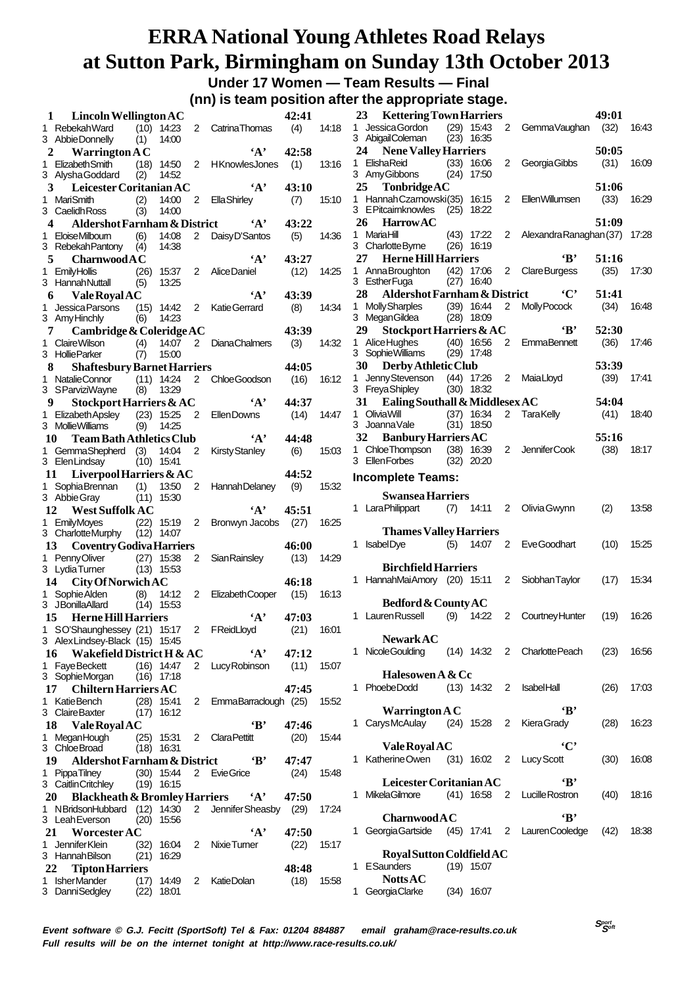**Under 17 Women — Team Results — Final (nn) is team position after the appropriate stage.**

|    |                                                       |            |                              |                |                            |       |       | (IIII) is team position arter the appropriate stage.                                           |       |
|----|-------------------------------------------------------|------------|------------------------------|----------------|----------------------------|-------|-------|------------------------------------------------------------------------------------------------|-------|
| 1  | Lincoln Wellington AC                                 |            |                              |                |                            | 42:41 |       | <b>Kettering Town Harriers</b><br>23<br>49:01                                                  |       |
|    | 1 Rebekah Ward                                        |            | $(10)$ 14:23                 |                | 2 Catrina Thomas           | (4)   | 14:18 | 1 Jessica Gordon<br>$(29)$ 15:43<br>2 GemmaVaughan (32)                                        | 16:43 |
|    | 3 Abbie Donnelly                                      | (1)        | 14:00                        |                |                            |       |       | 3 AbigailColeman<br>$(23)$ 16:35                                                               |       |
| 2  | <b>Warrington A C</b>                                 |            |                              |                | $\mathbf{A}$               | 42:58 |       | 50:05<br><b>Nene Valley Harriers</b><br>24                                                     |       |
|    | 1 Elizabeth Smith                                     |            |                              |                | (18) 14:50 2 HKnowlesJones | (1)   | 13:16 | ElishaReid<br>(31)<br>$(33)$ 16:06<br>1<br>2 Georgia Gibbs                                     | 16:09 |
|    | 3 Alysha Goddard                                      | (2)        | 14:52                        |                |                            |       |       | 3 Amy Gibbons<br>$(24)$ 17:50<br>51:06<br>25                                                   |       |
|    | Leicester Coritanian AC<br>3                          |            |                              |                | $\mathbf{A}$               | 43:10 |       | TonbridgeAC<br>1 Hannah Czarnowski(35) 16:15<br>(33)<br>2 EllenWillumsen                       | 16:29 |
|    | 1 MariSmith<br>3 Caelidh Ross                         | (2)<br>(3) | 14:00<br>14:00               | 2              | <b>Ella Shirley</b>        | (7)   | 15:10 | 3 EPitcairnknowles<br>$(25)$ 18:22                                                             |       |
| 4  | <b>Aldershot Farnham &amp; District</b>               |            |                              |                | $\mathbf{A}$               | 43:22 |       | 26<br><b>Harrow AC</b><br>51:09                                                                |       |
|    | 1 EloiseMilboum                                       | (6)        | 14:08                        | $\overline{2}$ | Daisy D'Santos             | (5)   | 14:36 | MariaHill<br>$(43)$ 17:22<br>2 Alexandra Ranaghan (37)<br>1                                    | 17:28 |
|    | 3 Rebekah Pantony                                     | (4)        | 14:38                        |                |                            |       |       | 3 Charlotte Byrne<br>$(26)$ 16:19                                                              |       |
|    | 5<br>CharnwoodAC                                      |            |                              |                | $\mathbf{A}$               | 43:27 |       | $\mathbf{B}$<br>27<br><b>Herne Hill Harriers</b><br>51:16                                      |       |
|    | 1 EmilyHollis                                         | (26)       | 15:37                        |                | 2 Alice Daniel             | (12)  | 14:25 | 1 Anna Broughton<br>$(42)$ 17:06<br>2 Clare Burgess<br>(35)                                    | 17:30 |
|    | 3 Hannah Nuttall                                      | (5)        | 13:25                        |                |                            |       |       | 3 EstherFuga<br>$(27)$ 16:40                                                                   |       |
|    | <b>Vale Royal AC</b><br>6                             |            |                              |                | $\mathbf{A}$               | 43:39 |       | 28<br>$\cdot$ C'<br>Aldershot Farnham & District<br>51:41                                      |       |
|    | 1 Jessica Parsons                                     |            | $(15)$ 14:42                 |                | 2 KatieGerrard             | (8)   | 14:34 | <b>Molly Sharples</b><br>$(39)$ 16:44<br>2<br>Molly Pocock<br>(34)<br>1.                       | 16:48 |
|    | 3 Amy Hinchly                                         | (6)        | 14:23                        |                |                            |       |       | 3 MeganGildea<br>$(28)$ 18:09                                                                  |       |
|    | Cambridge & Coleridge $AC$<br>7                       |            |                              |                |                            | 43:39 |       | 29<br>$\cdot$ B<br>52:30<br>Stockport Harriers & AC                                            |       |
|    | 1 Claire Wilson                                       | (4)        | 14:07                        | 2              | <b>DianaChalmers</b>       | (3)   | 14:32 | 1 Alice Hughes<br>$(40)$ 16:56<br>$2^{\circ}$<br>EmmaBennett<br>(36)                           | 17:46 |
|    | 3 Hollie Parker                                       | (7)        | 15:00                        |                |                            |       |       | 3 Sophie Williams<br>$(29)$ 17:48                                                              |       |
| 8  | <b>Shaftesbury Barnet Harriers</b>                    |            |                              |                |                            | 44:05 |       | Derby Athletic Club<br>53:39<br>30 F                                                           |       |
|    | 1 NatalieConnor                                       |            | $(11)$ 14:24                 |                | 2 ChloeGoodson             | (16)  | 16:12 | Jenny Stevenson<br>$(44)$ 17:26<br>2 MaiaLloyd<br>(39)<br>1<br>3 Freya Shipley<br>$(30)$ 18:32 | 17:41 |
| 9  | 3 SParviziWayne                                       | (8)        | 13:29                        |                | $\mathbf{A}$               | 44:37 |       | 31<br>Ealing Southall & Middlesex AC<br>54:04                                                  |       |
|    | Stockport Harriers & AC<br>1 Elizabeth Apsley         |            | $(23)$ 15:25                 | $\overline{2}$ | Ellen Downs                | (14)  | 14:47 | 1 Olivia Will<br>$(37)$ 16:34<br>2 TaraKelly<br>(41)                                           | 18:40 |
|    | 3 Mollie Williams                                     | (9)        | 14:25                        |                |                            |       |       | 3 Joanna Vale<br>$(31)$ 18:50                                                                  |       |
|    | <b>Team Bath Athletics Club</b><br>10                 |            |                              |                | $\mathbf{A}$               | 44:48 |       | 55:16<br>32<br><b>Banbury Harriers AC</b>                                                      |       |
|    | 1 GemmaShepherd (3) 14:04                             |            |                              | $\overline{2}$ | <b>Kirsty Stanley</b>      | (6)   | 15:03 | (38)<br>1 Chloe Thompson<br>$(38)$ 16:39<br>2 JenniferCook                                     | 18:17 |
|    | 3 Elen Lindsay                                        |            | $(10)$ 15:41                 |                |                            |       |       | 3 EllenForbes<br>$(32)$ 20:20                                                                  |       |
|    | Liverpool Harriers $&AC$<br>11                        |            |                              |                |                            | 44:52 |       | <b>Incomplete Teams:</b>                                                                       |       |
|    | 1 Sophia Brennan                                      | (1)        | 13:50                        | $\overline{2}$ | Hannah Delaney             | (9)   | 15:32 |                                                                                                |       |
|    | 3 Abbie Gray                                          |            | $(11)$ 15:30                 |                |                            |       |       | <b>Swansea Harriers</b>                                                                        |       |
|    | <b>West Suffolk AC</b><br>12                          |            |                              |                | $\mathbf{A}$               | 45:51 |       | 1 Lara Philippart<br>$(7)$ 14:11 2 Olivia Gwynn<br>(2)                                         | 13:58 |
|    | 1 EmilyMoyes                                          |            | $(22)$ 15:19                 | $\overline{2}$ | Bronwyn Jacobs             | (27)  | 16:25 |                                                                                                |       |
|    | 3 CharlotteMurphy                                     |            | $(12)$ 14:07                 |                |                            |       |       | <b>Thames Valley Harriers</b>                                                                  |       |
|    | <b>Coventry Godiva Harriers</b><br>13                 |            |                              |                |                            | 46:00 |       | 1 IsabelDye<br>(5)<br>14:07<br>2 EveGoodhart<br>(10)                                           | 15:25 |
|    | 1 PennyOliver                                         |            | $(27)$ 15:38                 | $\overline{2}$ | <b>Sian Rainsley</b>       | (13)  | 14:29 | <b>Birchfield Harriers</b>                                                                     |       |
|    | 3 LydiaTurner                                         |            | $(13)$ 15:53                 |                |                            | 46:18 |       | 1 HannahMaiAmory (20) 15:11<br>Siobhan Taylor<br>(17)<br>$\mathbf{2}$                          | 15:34 |
|    | City Of Norwich AC<br>14                              |            |                              |                |                            |       |       |                                                                                                |       |
|    | 1 Sophie Alden<br>3 JBonillaAllard                    | (8)        | 14:12<br>$(14)$ 15:53        | 2              | Elizabeth Cooper           | (15)  | 16:13 | Bedford & County AC                                                                            |       |
|    | <b>Herne Hill Harriers</b><br>15                      |            |                              |                | $\mathbf{A}$               | 47:03 |       | 1 Lauren Russell<br>(9) 14:22 2 Courtney Hunter<br>(19)                                        | 16:26 |
|    | 1 SO'Shaunghessey (21) 15:17 2 FReidLloyd             |            |                              |                |                            | (21)  | 16:01 |                                                                                                |       |
|    | 3 AlexLindsey-Black (15) 15:45                        |            |                              |                |                            |       |       | <b>NewarkAC</b>                                                                                |       |
|    | Wakefield District H & AC<br>16                       |            |                              |                | $\mathbf{A}$               | 47:12 |       | 1 Nicole Goulding<br>(14) 14:32 2 Charlotte Peach<br>(23)                                      | 16:56 |
|    | 1 FayeBeckett                                         |            | $(16)$ 14:47                 |                | 2 Lucy Robinson            | (11)  | 15:07 |                                                                                                |       |
|    | 3 SophieMorgan                                        |            | $(16)$ 17:18                 |                |                            |       |       | Halesowen A & Cc                                                                               |       |
|    | <b>Chiltern Harriers AC</b><br>17                     |            |                              |                |                            | 47:45 |       | 1 PhoebeDodd<br>$(13)$ 14:32 2 IsabelHall<br>(26)                                              | 17:03 |
|    | 1 KatieBench                                          |            | $(28)$ 15:41                 |                | 2 EmmaBarraclough (25)     |       | 15:52 |                                                                                                |       |
|    | 3 Claire Baxter                                       |            | $(17)$ 16:12                 |                |                            |       |       | ٠B,<br>Warrington $AC$                                                                         |       |
|    | 18 Vale Royal AC                                      |            |                              |                | 'В'                        | 47:46 |       | 1 CarysMcAulay (24) 15:28 2<br>(28)<br>Kiera Grady                                             | 16:23 |
|    |                                                       |            |                              |                |                            |       |       |                                                                                                |       |
|    | 1 MeganHough                                          |            | $(25)$ 15:31                 |                | 2 Clara Pettitt            | (20)  | 15:44 |                                                                                                |       |
|    | 3 ChloeBroad                                          |            | $(18)$ 16:31                 |                |                            |       |       | $\cdot$ C'<br>Vale Royal AC                                                                    |       |
|    | 19<br>Aldershot Farnham & District                    |            |                              |                | $\mathbf{B}$               | 47:47 |       | 1 Katherine Owen<br>(31) 16:02 2 Lucy Scott<br>(30)                                            | 16:08 |
|    | 1 PippaTilney                                         |            | $(30)$ 15:44                 |                | 2 EvieGrice                | (24)  | 15:48 |                                                                                                |       |
|    | 3 Caitlin Critchley                                   |            | $(19)$ 16:15                 |                |                            |       |       | ٠B,<br>Leicester Coritanian AC                                                                 |       |
|    | <b>Blackheath &amp; Bromley Harriers</b><br><b>20</b> |            |                              |                | $\mathbf{A}$               | 47:50 |       | 1 MikelaGilmore<br>(41) 16:58 2 Lucille Rostron<br>(40)                                        | 18:16 |
|    | 1 NBridsonHubbard (12) 14:30                          |            |                              |                | 2 Jennifer Sheasby (29)    |       | 17:24 | ٠B,                                                                                            |       |
|    | 3 Leah Everson                                        |            | $(20)$ 15:56                 |                |                            |       |       | <b>Charnwood A C</b>                                                                           |       |
|    | Worcester AC<br>21                                    |            |                              |                | $\cdot_A$                  | 47:50 |       | 1 Georgia Gartside<br>(45) 17:41 2 Lauren Cooledge<br>(42)                                     | 18:38 |
| 1. | Jennifer Klein                                        |            | $(32)$ 16:04                 |                | 2 Nixie Turner             | (22)  | 15:17 |                                                                                                |       |
|    | 3 Hannah Bilson                                       |            | $(21)$ 16:29                 |                |                            |       |       | Royal Sutton Coldfield AC<br>1 ESaunders<br>$(19)$ 15:07                                       |       |
|    | <b>Tipton Harriers</b><br>22                          |            |                              |                |                            | 48:48 |       | <b>Notts AC</b>                                                                                |       |
|    | 1 IsherMander<br>3 DanniSedgley                       |            | $(17)$ 14:49<br>$(22)$ 18:01 |                | 2 KatieDolan               | (18)  | 15:58 | 1 Georgia Clarke<br>$(34)$ 16:07                                                               |       |

**<sup>S</sup>port Soft**